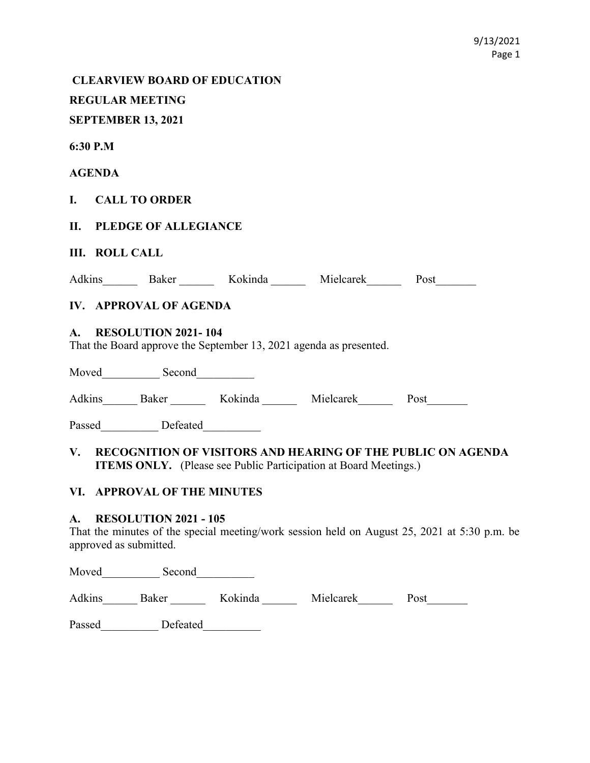CLEARVIEW BOARD OF EDUCATION

REGULAR MEETING

# SEPTEMBER 13, 2021

6:30 P.M

## AGENDA

# I. CALL TO ORDER

# II. PLEDGE OF ALLEGIANCE

## III. ROLL CALL

| Adkins | ике | elcarek<br>M <sub>1e</sub> | 'ost |
|--------|-----|----------------------------|------|
|        |     |                            |      |

# IV. APPROVAL OF AGENDA

## A. RESOLUTION 2021- 104

That the Board approve the September 13, 2021 agenda as presented.

| Moved  | Second |         |           |      |
|--------|--------|---------|-----------|------|
| Adkins | Baker  | Kokinda | Mielcarek | Post |

Passed Defeated

# V. RECOGNITION OF VISITORS AND HEARING OF THE PUBLIC ON AGENDA ITEMS ONLY. (Please see Public Participation at Board Meetings.)

## VI. APPROVAL OF THE MINUTES

## A. RESOLUTION 2021 - 105

That the minutes of the special meeting/work session held on August 25, 2021 at 5:30 p.m. be approved as submitted.

Moved Second

Adkins Baker Kokinda Mielcarek Post

Passed\_\_\_\_\_\_\_\_\_\_ Defeated\_\_\_\_\_\_\_\_\_\_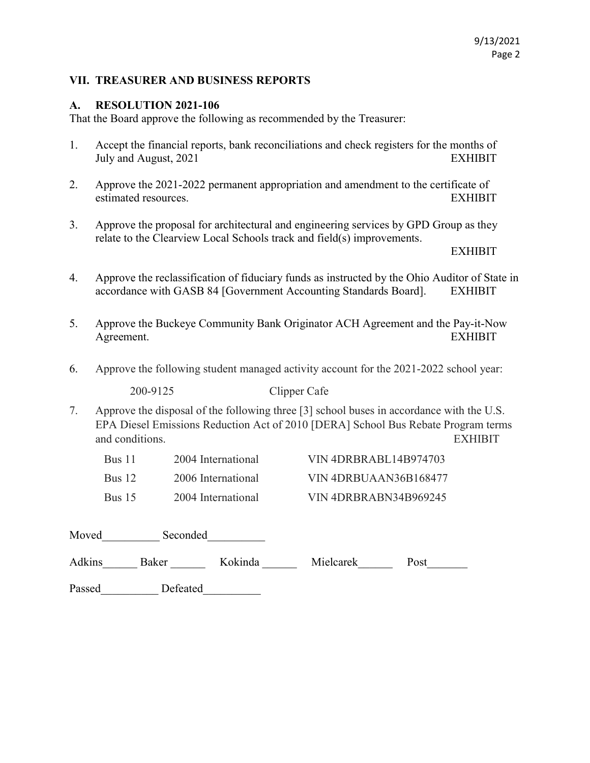## VII. TREASURER AND BUSINESS REPORTS

### A. RESOLUTION 2021-106

That the Board approve the following as recommended by the Treasurer:

- 1. Accept the financial reports, bank reconciliations and check registers for the months of July and August, 2021 EXHIBIT
- 2. Approve the 2021-2022 permanent appropriation and amendment to the certificate of estimated resources. EXHIBIT
- 3. Approve the proposal for architectural and engineering services by GPD Group as they relate to the Clearview Local Schools track and field(s) improvements.

EXHIBIT

- 4. Approve the reclassification of fiduciary funds as instructed by the Ohio Auditor of State in accordance with GASB 84 [Government Accounting Standards Board]. EXHIBIT
- 5. Approve the Buckeye Community Bank Originator ACH Agreement and the Pay-it-Now Agreement. EXHIBIT
- 6. Approve the following student managed activity account for the 2021-2022 school year:

200-9125 Clipper Cafe

7. Approve the disposal of the following three [3] school buses in accordance with the U.S. EPA Diesel Emissions Reduction Act of 2010 [DERA] School Bus Rebate Program terms and conditions. EXHIBIT

| <b>Bus</b> 11     | 2004 International | VIN 4DRBRABL14B974703 |
|-------------------|--------------------|-----------------------|
| Bus <sub>12</sub> | 2006 International | VIN 4DRBUAAN36B168477 |
| Bus $15$          | 2004 International | VIN 4DRBRABN34B969245 |

| Moved<br>Seconded |          |         |           |      |
|-------------------|----------|---------|-----------|------|
| Adkins            | Baker    | Kokinda | Mielcarek | Post |
| Passed            | Defeated |         |           |      |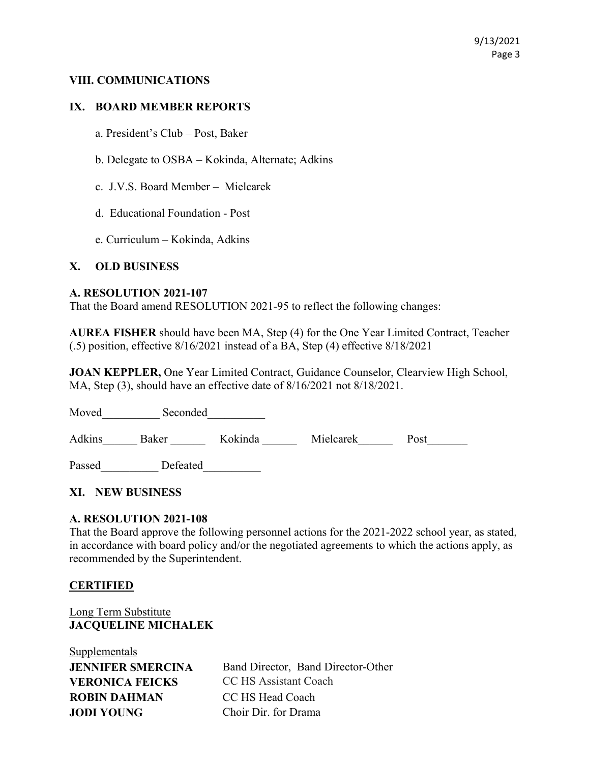## VIII. COMMUNICATIONS

## IX. BOARD MEMBER REPORTS

- a. President's Club Post, Baker
- b. Delegate to OSBA Kokinda, Alternate; Adkins
- c. J.V.S. Board Member Mielcarek
- d. Educational Foundation Post
- e. Curriculum Kokinda, Adkins

## X. OLD BUSINESS

#### A. RESOLUTION 2021-107

That the Board amend RESOLUTION 2021-95 to reflect the following changes:

AUREA FISHER should have been MA, Step (4) for the One Year Limited Contract, Teacher (.5) position, effective 8/16/2021 instead of a BA, Step (4) effective 8/18/2021

JOAN KEPPLER, One Year Limited Contract, Guidance Counselor, Clearview High School, MA, Step (3), should have an effective date of 8/16/2021 not 8/18/2021.

Moved Seconded

Adkins Baker Kokinda Mielcarek Post

Passed Defeated

## XI. NEW BUSINESS

## A. RESOLUTION 2021-108

That the Board approve the following personnel actions for the 2021-2022 school year, as stated, in accordance with board policy and/or the negotiated agreements to which the actions apply, as recommended by the Superintendent.

#### **CERTIFIED**

## Long Term Substitute JACQUELINE MICHALEK

Supplementals **VERONICA FEICKS** CC HS Assistant Coach ROBIN DAHMAN CC HS Head Coach JODI YOUNG Choir Dir. for Drama

**JENNIFER SMERCINA** Band Director, Band Director-Other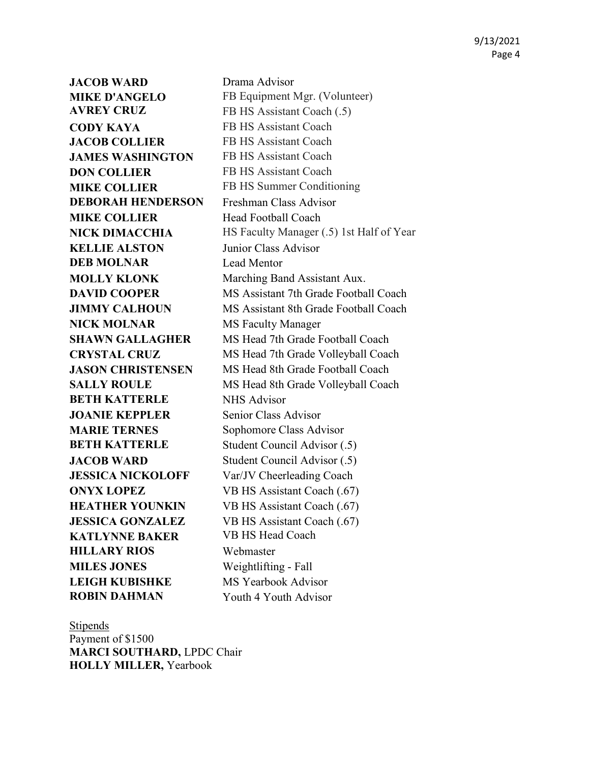JACOB WARD Drama Advisor AVREY CRUZ FB HS Assistant Coach (.5) CODY KAYA FB HS Assistant Coach JACOB COLLIER FB HS Assistant Coach JAMES WASHINGTON FB HS Assistant Coach **DON COLLIER** FB HS Assistant Coach DEBORAH HENDERSON Freshman Class Advisor **MIKE COLLIER** Head Football Coach KELLIE ALSTON Junior Class Advisor **DEB MOLNAR** Lead Mentor NICK MOLNAR MS Faculty Manager **BETH KATTERLE** NHS Advisor JOANIE KEPPLER Senior Class Advisor MARIE TERNES Sophomore Class Advisor KATLYNNE BAKER VB HS Head Coach HILLARY RIOS Webmaster MILES JONES Weightlifting - Fall LEIGH KUBISHKE MS Yearbook Advisor ROBIN DAHMAN Youth 4 Youth Advisor

MIKE D'ANGELO FB Equipment Mgr. (Volunteer) **MIKE COLLIER** FB HS Summer Conditioning NICK DIMACCHIA HS Faculty Manager (.5) 1st Half of Year **MOLLY KLONK** Marching Band Assistant Aux. **DAVID COOPER** MS Assistant 7th Grade Football Coach **JIMMY CALHOUN** MS Assistant 8th Grade Football Coach SHAWN GALLAGHER MS Head 7th Grade Football Coach CRYSTAL CRUZ MS Head 7th Grade Volleyball Coach JASON CHRISTENSEN MS Head 8th Grade Football Coach SALLY ROULE MS Head 8th Grade Volleyball Coach BETH KATTERLE Student Council Advisor (.5) JACOB WARD Student Council Advisor (.5) **JESSICA NICKOLOFF** Var/JV Cheerleading Coach **ONYX LOPEZ** VB HS Assistant Coach (.67) HEATHER YOUNKIN VB HS Assistant Coach (.67) **JESSICA GONZALEZ** VB HS Assistant Coach (.67)

#### **Stipends**

Payment of \$1500 MARCI SOUTHARD, LPDC Chair HOLLY MILLER, Yearbook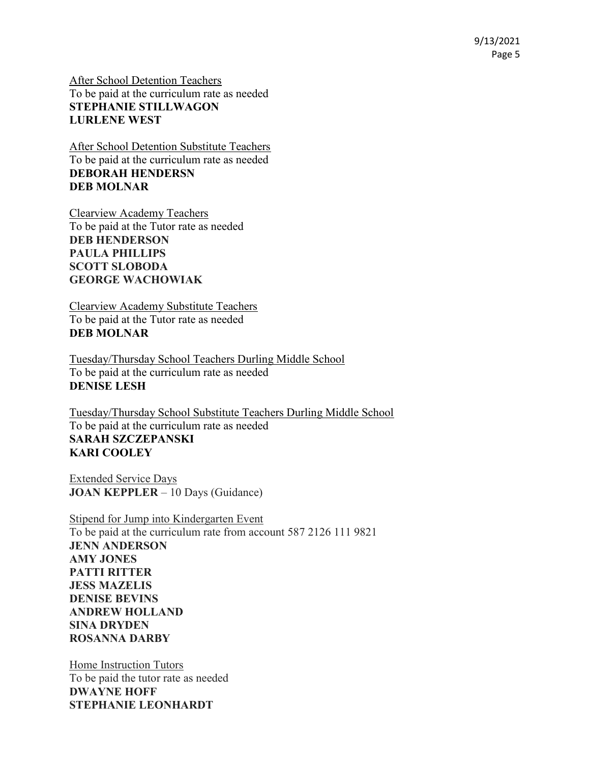9/13/2021 Page 5

After School Detention Teachers To be paid at the curriculum rate as needed STEPHANIE STILLWAGON LURLENE WEST

After School Detention Substitute Teachers To be paid at the curriculum rate as needed DEBORAH HENDERSN DEB MOLNAR

Clearview Academy Teachers To be paid at the Tutor rate as needed DEB HENDERSON PAULA PHILLIPS SCOTT SLOBODA GEORGE WACHOWIAK

Clearview Academy Substitute Teachers To be paid at the Tutor rate as needed DEB MOLNAR

Tuesday/Thursday School Teachers Durling Middle School To be paid at the curriculum rate as needed DENISE LESH

Tuesday/Thursday School Substitute Teachers Durling Middle School To be paid at the curriculum rate as needed SARAH SZCZEPANSKI KARI COOLEY

Extended Service Days JOAN KEPPLER – 10 Days (Guidance)

Stipend for Jump into Kindergarten Event To be paid at the curriculum rate from account 587 2126 111 9821 JENN ANDERSON AMY JONES PATTI RITTER JESS MAZELIS DENISE BEVINS ANDREW HOLLAND SINA DRYDEN ROSANNA DARBY

Home Instruction Tutors To be paid the tutor rate as needed DWAYNE HOFF STEPHANIE LEONHARDT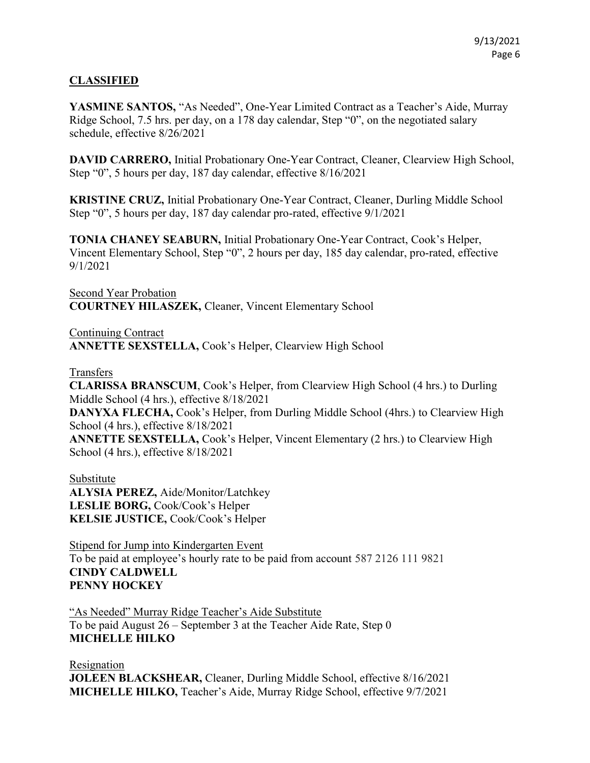## CLASSIFIED

YASMINE SANTOS, "As Needed", One-Year Limited Contract as a Teacher's Aide, Murray Ridge School, 7.5 hrs. per day, on a 178 day calendar, Step "0", on the negotiated salary schedule, effective 8/26/2021

DAVID CARRERO, Initial Probationary One-Year Contract, Cleaner, Clearview High School, Step "0", 5 hours per day, 187 day calendar, effective 8/16/2021

KRISTINE CRUZ, Initial Probationary One-Year Contract, Cleaner, Durling Middle School Step "0", 5 hours per day, 187 day calendar pro-rated, effective 9/1/2021

TONIA CHANEY SEABURN, Initial Probationary One-Year Contract, Cook's Helper, Vincent Elementary School, Step "0", 2 hours per day, 185 day calendar, pro-rated, effective 9/1/2021

Second Year Probation COURTNEY HILASZEK, Cleaner, Vincent Elementary School

Continuing Contract ANNETTE SEXSTELLA, Cook's Helper, Clearview High School

Transfers

CLARISSA BRANSCUM, Cook's Helper, from Clearview High School (4 hrs.) to Durling Middle School (4 hrs.), effective 8/18/2021 DANYXA FLECHA, Cook's Helper, from Durling Middle School (4hrs.) to Clearview High School (4 hrs.), effective 8/18/2021 ANNETTE SEXSTELLA, Cook's Helper, Vincent Elementary (2 hrs.) to Clearview High School (4 hrs.), effective 8/18/2021

Substitute ALYSIA PEREZ, Aide/Monitor/Latchkey LESLIE BORG, Cook/Cook's Helper KELSIE JUSTICE, Cook/Cook's Helper

Stipend for Jump into Kindergarten Event To be paid at employee's hourly rate to be paid from account 587 2126 111 9821 CINDY CALDWELL PENNY HOCKEY

"As Needed" Murray Ridge Teacher's Aide Substitute To be paid August 26 – September 3 at the Teacher Aide Rate, Step 0 MICHELLE HILKO

Resignation JOLEEN BLACKSHEAR, Cleaner, Durling Middle School, effective 8/16/2021 MICHELLE HILKO, Teacher's Aide, Murray Ridge School, effective 9/7/2021